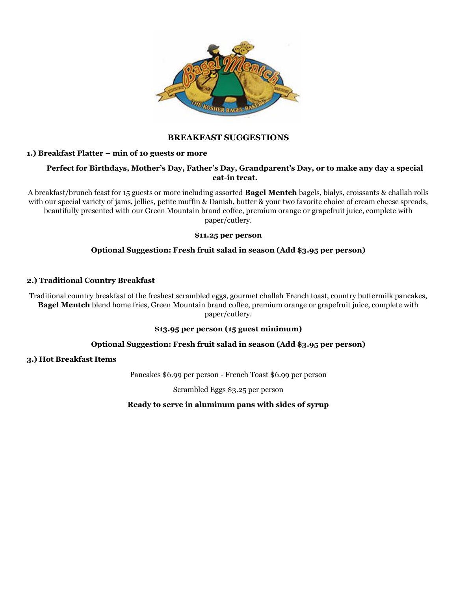

# **BREAKFAST SUGGESTIONS**

# **1.) Breakfast Platter – min of 10 guests or more**

# **Perfect for Birthdays, Mother's Day, Father's Day, Grandparent's Day, or to make any day a special eat-in treat.**

A breakfast/brunch feast for 15 guests or more including assorted **Bagel Mentch** bagels, bialys, croissants & challah rolls with our special variety of jams, jellies, petite muffin & Danish, butter & your two favorite choice of cream cheese spreads, beautifully presented with our Green Mountain brand coffee, premium orange or grapefruit juice, complete with paper/cutlery.

#### **\$11.25 per person**

# **Optional Suggestion: Fresh fruit salad in season (Add \$3.95 per person)**

# **2.) Traditional Country Breakfast**

Traditional country breakfast of the freshest scrambled eggs, gourmet challah French toast, country buttermilk pancakes, **Bagel Mentch** blend home fries, Green Mountain brand coffee, premium orange or grapefruit juice, complete with paper/cutlery.

#### **\$13.95 per person (15 guest minimum)**

#### **Optional Suggestion: Fresh fruit salad in season (Add \$3.95 per person)**

#### **3.) Hot Breakfast Items**

Pancakes \$6.99 per person - French Toast \$6.99 per person

Scrambled Eggs \$3.25 per person

#### **Ready to serve in aluminum pans with sides of syrup**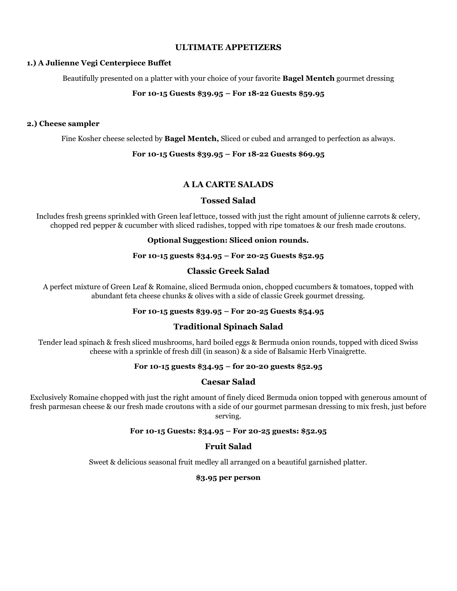# **ULTIMATE APPETIZERS**

## **1.) A Julienne Vegi Centerpiece Buffet**

Beautifully presented on a platter with your choice of your favorite **Bagel Mentch** gourmet dressing

# **For 10-15 Guests \$39.95 – For 18-22 Guests \$59.95**

# **2.) Cheese sampler**

Fine Kosher cheese selected by **Bagel Mentch,** Sliced or cubed and arranged to perfection as always.

# **For 10-15 Guests \$39.95 – For 18-22 Guests \$69.95**

# **A LA CARTE SALADS**

# **Tossed Salad**

Includes fresh greens sprinkled with Green leaf lettuce, tossed with just the right amount of julienne carrots & celery, chopped red pepper & cucumber with sliced radishes, topped with ripe tomatoes & our fresh made croutons.

# **Optional Suggestion: Sliced onion rounds.**

## **For 10-15 guests \$34.95 – For 20-25 Guests \$52.95**

# **Classic Greek Salad**

A perfect mixture of Green Leaf & Romaine, sliced Bermuda onion, chopped cucumbers & tomatoes, topped with abundant feta cheese chunks & olives with a side of classic Greek gourmet dressing.

# **For 10-15 guests \$39.95 – For 20-25 Guests \$54.95**

# **Traditional Spinach Salad**

Tender lead spinach & fresh sliced mushrooms, hard boiled eggs & Bermuda onion rounds, topped with diced Swiss cheese with a sprinkle of fresh dill (in season) & a side of Balsamic Herb Vinaigrette.

# **For 10-15 guests \$34.95 – for 20-20 guests \$52.95**

# **Caesar Salad**

Exclusively Romaine chopped with just the right amount of finely diced Bermuda onion topped with generous amount of fresh parmesan cheese & our fresh made croutons with a side of our gourmet parmesan dressing to mix fresh, just before serving.

# **For 10-15 Guests: \$34.95 – For 20-25 guests: \$52.95**

# **Fruit Salad**

Sweet & delicious seasonal fruit medley all arranged on a beautiful garnished platter.

# **\$3.95 per person**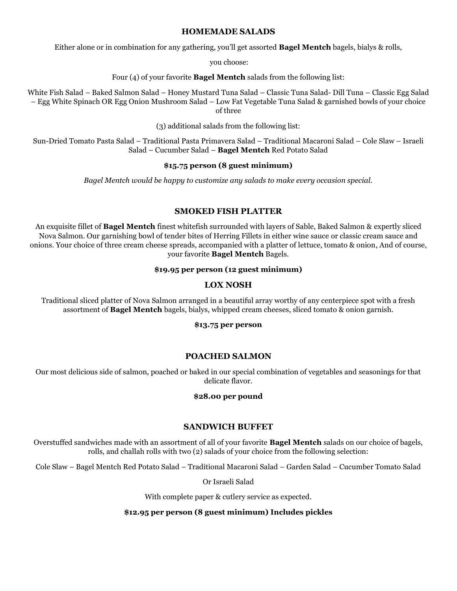# **HOMEMADE SALADS**

Either alone or in combination for any gathering, you'll get assorted **Bagel Mentch** bagels, bialys & rolls,

you choose:

Four (4) of your favorite **Bagel Mentch** salads from the following list:

White Fish Salad – Baked Salmon Salad – Honey Mustard Tuna Salad – Classic Tuna Salad- Dill Tuna – Classic Egg Salad – Egg White Spinach OR Egg Onion Mushroom Salad – Low Fat Vegetable Tuna Salad & garnished bowls of your choice of three

(3) additional salads from the following list:

Sun-Dried Tomato Pasta Salad – Traditional Pasta Primavera Salad – Traditional Macaroni Salad – Cole Slaw – Israeli Salad – Cucumber Salad – **Bagel Mentch** Red Potato Salad

## **\$15.75 person (8 guest minimum)**

*Bagel Mentch would be happy to customize any salads to make every occasion special.*

# **SMOKED FISH PLATTER**

An exquisite fillet of **Bagel Mentch** finest whitefish surrounded with layers of Sable, Baked Salmon & expertly sliced Nova Salmon. Our garnishing bowl of tender bites of Herring Fillets in either wine sauce or classic cream sauce and onions. Your choice of three cream cheese spreads, accompanied with a platter of lettuce, tomato & onion, And of course, your favorite **Bagel Mentch** Bagels.

## **\$19.95 per person (12 guest minimum)**

# **LOX NOSH**

Traditional sliced platter of Nova Salmon arranged in a beautiful array worthy of any centerpiece spot with a fresh assortment of **Bagel Mentch** bagels, bialys, whipped cream cheeses, sliced tomato & onion garnish.

#### **\$13.75 per person**

# **POACHED SALMON**

Our most delicious side of salmon, poached or baked in our special combination of vegetables and seasonings for that delicate flavor.

# **\$28.00 per pound**

# **SANDWICH BUFFET**

Overstuffed sandwiches made with an assortment of all of your favorite **Bagel Mentch** salads on our choice of bagels, rolls, and challah rolls with two (2) salads of your choice from the following selection:

Cole Slaw – Bagel Mentch Red Potato Salad – Traditional Macaroni Salad – Garden Salad – Cucumber Tomato Salad

Or Israeli Salad

With complete paper & cutlery service as expected.

**\$12.95 per person (8 guest minimum) Includes pickles**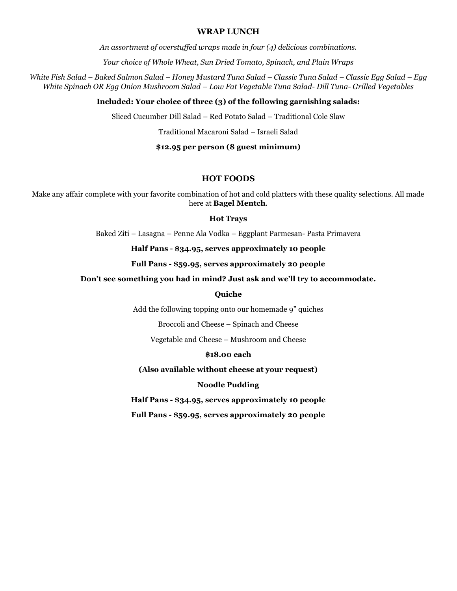## **WRAP LUNCH**

*An assortment of overstuffed wraps made in four (4) delicious combinations.*

*Your choice of Whole Wheat, Sun Dried Tomato, Spinach, and Plain Wraps*

*White Fish Salad – Baked Salmon Salad – Honey Mustard Tuna Salad – Classic Tuna Salad – Classic Egg Salad – Egg White Spinach OR Egg Onion Mushroom Salad – Low Fat Vegetable Tuna Salad- Dill Tuna- Grilled Vegetables*

#### **Included: Your choice of three (3) of the following garnishing salads:**

Sliced Cucumber Dill Salad – Red Potato Salad – Traditional Cole Slaw

Traditional Macaroni Salad – Israeli Salad

### **\$12.95 per person (8 guest minimum)**

# **HOT FOODS**

Make any affair complete with your favorite combination of hot and cold platters with these quality selections. All made here at **Bagel Mentch**.

#### **Hot Trays**

Baked Ziti – Lasagna – Penne Ala Vodka – Eggplant Parmesan- Pasta Primavera

**Half Pans - \$34.95, serves approximately 10 people**

**Full Pans - \$59.95, serves approximately 20 people**

## **Don't see something you had in mind? Just ask and we'll try to accommodate.**

## **Quiche**

Add the following topping onto our homemade 9" quiches

Broccoli and Cheese – Spinach and Cheese

Vegetable and Cheese – Mushroom and Cheese

#### **\$18.00 each**

**(Also available without cheese at your request)**

# **Noodle Pudding**

**Half Pans - \$34.95, serves approximately 10 people**

**Full Pans - \$59.95, serves approximately 20 people**